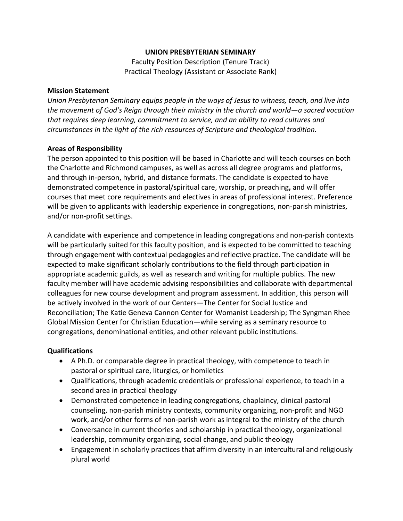## **UNION PRESBYTERIAN SEMINARY**

Faculty Position Description (Tenure Track) Practical Theology (Assistant or Associate Rank)

## **Mission Statement**

*Union Presbyterian Seminary equips people in the ways of Jesus to witness, teach, and live into the movement of God's Reign through their ministry in the church and world—a sacred vocation that requires deep learning, commitment to service, and an ability to read cultures and circumstances in the light of the rich resources of Scripture and theological tradition.*

## **Areas of Responsibility**

The person appointed to this position will be based in Charlotte and will teach courses on both the Charlotte and Richmond campuses, as well as across all degree programs and platforms, and through in-person, hybrid, and distance formats. The candidate is expected to have demonstrated competence in pastoral/spiritual care, worship, or preaching**,** and will offer courses that meet core requirements and electives in areas of professional interest. Preference will be given to applicants with leadership experience in congregations, non-parish ministries, and/or non-profit settings.

A candidate with experience and competence in leading congregations and non-parish contexts will be particularly suited for this faculty position, and is expected to be committed to teaching through engagement with contextual pedagogies and reflective practice. The candidate will be expected to make significant scholarly contributions to the field through participation in appropriate academic guilds, as well as research and writing for multiple publics. The new faculty member will have academic advising responsibilities and collaborate with departmental colleagues for new course development and program assessment. In addition, this person will be actively involved in the work of our Centers—The Center for Social Justice and Reconciliation; The Katie Geneva Cannon Center for Womanist Leadership; The Syngman Rhee Global Mission Center for Christian Education—while serving as a seminary resource to congregations, denominational entities, and other relevant public institutions.

## **Qualifications**

- A Ph.D. or comparable degree in practical theology, with competence to teach in pastoral or spiritual care, liturgics, or homiletics
- Qualifications, through academic credentials or professional experience, to teach in a second area in practical theology
- Demonstrated competence in leading congregations, chaplaincy, clinical pastoral counseling, non-parish ministry contexts, community organizing, non-profit and NGO work, and/or other forms of non-parish work as integral to the ministry of the church
- Conversance in current theories and scholarship in practical theology, organizational leadership, community organizing, social change, and public theology
- Engagement in scholarly practices that affirm diversity in an intercultural and religiously plural world